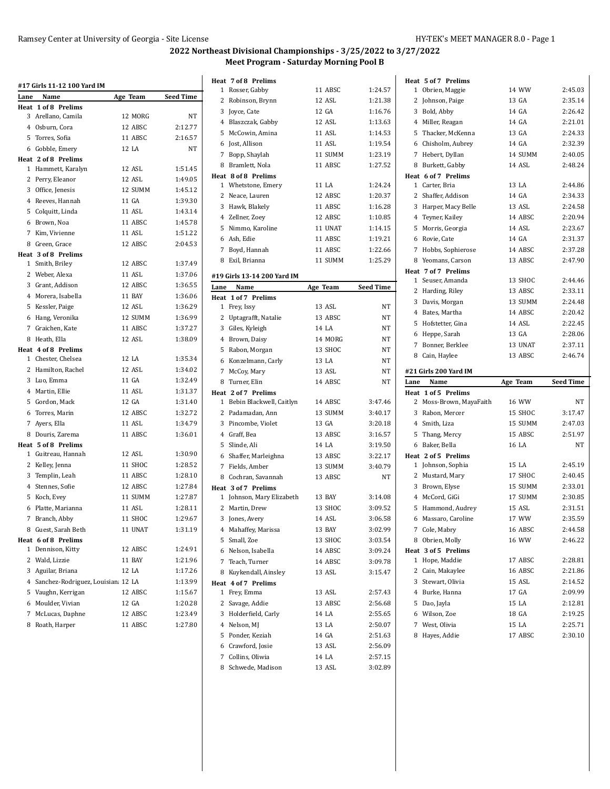|      | #17 Girls 11-12 100 Yard IM         |               |                  |
|------|-------------------------------------|---------------|------------------|
| Lane | Name                                | Age Team      | <b>Seed Time</b> |
|      | Heat 1 of 8 Prelims                 |               |                  |
|      | 3 Arellano, Camila                  | 12 MORG       | NT               |
|      | 4 Osburn, Cora                      | 12 ABSC       | 2:12.77          |
|      | 5 Torres, Sofia                     | 11 ABSC       | 2:16.57          |
|      | 6 Gobble, Emery                     | 12 LA         | <b>NT</b>        |
|      | Heat 2 of 8 Prelims                 |               |                  |
|      | 1 Hammett, Karalyn                  | 12 ASL        | 1:51.45          |
|      | 2 Perry, Eleanor                    | 12 ASL        | 1:49.05          |
|      | 3 Office, Jenesis                   | 12 SUMM       | 1:45.12          |
|      | 4 Reeves, Hannah                    | 11 GA         | 1:39.30          |
|      | 5 Colquitt, Linda                   | 11 ASL        | 1:43.14          |
|      | 6 Brown, Noa                        | 11 ABSC       | 1:45.78          |
|      | 7 Kim, Vivienne                     | 11 ASL        | 1:51.22          |
|      | 8 Green, Grace                      | 12 ABSC       | 2:04.53          |
|      | Heat 3 of 8 Prelims                 |               |                  |
|      | 1 Smith, Briley                     | 12 ABSC       | 1:37.49          |
|      | 2 Weber, Alexa                      | 11 ASL        | 1:37.06          |
|      | 3 Grant, Addison                    | 12 ABSC       | 1:36.55          |
|      | 4 Morera, Isabella                  | 11 BAY        | 1:36.06          |
|      | 5 Kessler, Paige                    | 12 ASL        | 1:36.29          |
|      | 6 Hang, Veronika                    | 12 SUMM       | 1:36.99          |
|      | 7 Graichen, Kate                    | 11 ABSC       | 1:37.27          |
|      | 8 Heath, Ella                       | 12 ASL        | 1:38.09          |
|      | Heat 4 of 8 Prelims                 |               |                  |
|      | 1 Chester, Chelsea                  | 12 LA         | 1:35.34          |
|      | 2 Hamilton, Rachel                  | 12 ASL        | 1:34.02          |
|      | 3 Luo, Emma                         | 11 GA         | 1:32.49          |
|      | 4 Martin, Ellie                     | <b>11 ASL</b> | 1:31.37          |
|      | 5 Gordon, Mack                      | 12 GA         | 1:31.40          |
|      | 6 Torres, Marin                     | 12 ABSC       | 1:32.72          |
|      | 7 Ayers, Ella                       | 11 ASL        | 1:34.79          |
|      | 8 Douris, Zarema                    | 11 ABSC       | 1:36.01          |
|      | Heat 5 of 8 Prelims                 |               |                  |
|      | 1 Guitreau, Hannah                  | 12 ASL        | 1:30.90          |
|      | 2 Kelley, Jenna                     | 11 SHOC       | 1:28.52          |
|      | 3 Templin, Leah                     | 11 ABSC       | 1:28.10          |
|      | 4 Stennes, Sofie                    | 12 ABSC       | 1:27.84          |
|      | 5 Koch, Evev                        | 11 SUMM       | 1:27.87          |
|      | 6 Platte, Marianna                  | 11 ASL        | 1:28.11          |
| 7    | Branch, Abby                        | 11 SHOC       | 1:29.67          |
|      | 8 Guest, Sarah Beth                 | 11 UNAT       | 1:31.19          |
|      | Heat 6 of 8 Prelims                 |               |                  |
| 1    | Dennison, Kitty                     | 12 ABSC       | 1:24.91          |
|      | 2 Wald, Lizzie                      | 11 BAY        | 1:21.96          |
|      | 3 Aguilar, Briana                   | 12 LA         | 1:17.26          |
|      | 4 Sanchez-Rodriguez, Louisian 12 LA |               | 1:13.99          |
|      | 5 Vaughn, Kerrigan                  | 12 ABSC       | 1:15.67          |
|      | 6 Moulder, Vivian                   | 12 GA         | 1:20.28          |
| 7    | McLucas, Daphne                     | 12 ABSC       | 1:23.49          |
| 8    | Roath, Harper                       | 11 ABSC       | 1:27.80          |
|      |                                     |               |                  |

|      | Heat 7 of 8 Prelims         |                |                  |
|------|-----------------------------|----------------|------------------|
|      | 1 Rosser, Gabby             | 11 ABSC        | 1:24.57          |
|      | 2 Robinson, Brynn           | 12 ASL         | 1:21.38          |
|      | 3 Joyce, Cate               | 12 GA          | 1:16.76          |
|      | 4 Blaszczak, Gabby          | 12 ASL         | 1:13.63          |
|      | 5 McCowin, Amina            | 11 ASL         | 1:14.53          |
|      | 6 Jost, Allison             | 11 ASL         | 1:19.54          |
|      | 7 Bopp, Shaylah             | 11 SUMM        | 1:23.19          |
|      | 8 Bramlett, Nola            | 11 ABSC        | 1:27.52          |
|      | Heat 8 of 8 Prelims         |                |                  |
|      | 1 Whetstone, Emery          | 11 LA          | 1:24.24          |
|      | 2 Neace, Lauren             | 12 ABSC        | 1:20.37          |
|      | 3 Hawk, Blakely             | 11 ABSC        | 1:16.28          |
|      | 4 Zellner, Zoey             | 12 ABSC        | 1:10.85          |
|      | 5 Nimmo, Karoline           | 11 UNAT        | 1:14.15          |
|      | 6 Ash, Edie                 | 11 ABSC        | 1:19.21          |
|      | 7 Boyd, Hannah              | 11 ABSC        | 1:22.66          |
|      | 8 Exil, Brianna             | 11 SUMM        | 1:25.29          |
|      | #19 Girls 13-14 200 Yard IM |                |                  |
| Lane | Name                        | Age Team       | <b>Seed Time</b> |
| Heat | 1 of 7 Prelims              |                |                  |
|      | 1 Frey, Issy                | 13 ASL         | NT               |
|      | 2 Uptagrafft, Natalie       | 13 ABSC        | NT               |
|      | 3 Giles, Kyleigh            | 14 LA          | NT               |
|      | 4 Brown, Daisy              | 14 MORG        | NT               |
|      | 5 Rabon, Morgan             | 13 SHOC        | NT               |
|      | 6 Konzelmann, Carly         | 13 LA          | NT               |
|      | 7 McCoy, Mary               | 13 ASL         | NT               |
|      | 8 Turner, Elin              | 14 ABSC        | NT               |
|      | Heat 2 of 7 Prelims         |                |                  |
|      | 1 Bebin Blackwell, Caitlyn  | 14 ABSC        | 3:47.46          |
|      | 2 Padamadan, Ann            | 13 SUMM        | 3:40.17          |
|      | 3 Pincombe, Violet          | 13 GA          | 3:20.18          |
|      | 4 Graff, Bea                | 13 ABSC        | 3:16.57          |
|      | 5 Slinde, Ali               | 14 LA          | 3:19.50          |
|      | 6 Shaffer, Marleighna       | 13 ABSC        | 3:22.17          |
|      | 7 Fields, Amber             | 13 SUMM        | 3:40.79          |
|      | 8 Cochran, Savannah         | 13 ABSC        | <b>NT</b>        |
|      | Heat 3 of 7 Prelims         |                |                  |
|      | 1 Johnson, Mary Elizabeth   | 13 BAY         | 3:14.08          |
|      | 2 Martin, Drew              | 13 SHOC        | 3:09.52          |
|      | 3 Jones, Avery              | 14 ASL         | 3:06.58          |
|      | 4 Mahaffey, Marissa         | 13 BAY         | 3:02.99          |
|      | 5 Small, Zoe                | 13 SHOC        | 3:03.54          |
|      | 6 Nelson, Isabella          | 14 ABSC        | 3:09.24          |
|      | 7 Teach, Turner             | 14 ABSC        | 3:09.78          |
| 8    | Kuykendall, Ainsley         | 13 ASL         | 3:15.47          |
|      | Heat 4 of 7 Prelims         |                |                  |
| 1    | Frey, Emma                  | 13 ASL         | 2 57 43          |
|      | 2 Savage, Addie             | 13 ABSC        | 2:56.68          |
|      | 3 Holderfield, Carly        | 14 LA<br>13 LA | 2:55.65          |
|      | 4 Nelson, MJ                |                | 2:50.07          |
|      | 5 Ponder, Keziah            | 14 GA          | 2 51 63          |
|      | 6 Crawford, Josie           | 13 ASL         | 2:56.09          |
|      | 7 Collins, Oliwia           | 14 LA          | 2:57.15          |
|      | 8 Schwede, Madison          | 13 ASL         | 3:02.89          |

| Heat 5 of 7 Prelims                            |          |                  |
|------------------------------------------------|----------|------------------|
| 1 Obrien, Maggie                               | 14 WW    | 2:45.03          |
| 2 Johnson, Paige                               | 13 GA    | 2:35.14          |
| 3 Bold, Abby                                   | 14 GA    | 2:26.42          |
| 4 Miller, Reagan                               | 14 GA    | 2:21.01          |
| 5 Thacker, McKenna                             | 13 GA    | 2:24.33          |
| 6 Chisholm, Aubrey                             | 14 GA    | 2:32.39          |
| 7 Hebert, Dyllan                               | 14 SUMM  | 2:40.05          |
| Burkett, Gabby<br>8                            | 14 ASL   | 2:48.24          |
| Heat 6 of 7 Prelims                            |          |                  |
| 1 Carter, Bria                                 | 13 LA    | 2:44.86          |
| 2 Shaffer, Addison                             | 14 GA    | 2:34.33          |
| 3<br>Harper, Macy Belle                        | 13 ASL   | 2:24.58          |
| 4 Teyner, Kailey                               | 14 ABSC  | 2:20.94          |
| 5 Morris, Georgia                              | 14 ASL   | 2:23.67          |
| 6 Rovie, Cate                                  | 14 GA    | 2:31.37          |
| 7 Hobbs, Sophierose                            | 14 ABSC  | 2:37.28          |
| Yeomans, Carson<br>8                           | 13 ABSC  | 2:47.90          |
| Heat 7 of 7 Prelims                            |          |                  |
| Seuser, Amanda<br>1                            | 13 SHOC  | 2:44.46          |
| 2 Harding, Riley                               | 13 ABSC  | 2:33.11          |
| 3<br>Davis, Morgan                             | 13 SUMM  | 2:24.48          |
| 4 Bates, Martha                                | 14 ABSC  | 2:20.42          |
| 5 Hofstetter, Gina                             | 14 ASL   | 2:22.45          |
| 6 Heppe, Sarah                                 | 13 GA    | 2:28.06          |
| 7 Bonner, Berklee                              | 13 UNAT  | 2:37.11          |
| 8 Cain, Haylee                                 | 13 ABSC  | 2:46.74          |
|                                                |          |                  |
|                                                |          |                  |
| #21 Girls 200 Yard IM                          |          |                  |
| Name<br>Lane                                   | Age Team | <b>Seed Time</b> |
| Heat 1 of 5 Prelims<br>2 Moss-Brown, MayaFaith | 16 WW    | NT               |
| 3 Rabon, Mercer                                | 15 SHOC  | 3:17.47          |
| 4 Smith, Liza                                  | 15 SUMM  | 2:47.03          |
| 5                                              | 15 ABSC  | 2:51.97          |
| Thang, Mercy<br>Baker, Bella<br>6              | 16 LA    | NΤ               |
| Heat 2 of 5 Prelims                            |          |                  |
| 1 Johnson, Sophia                              | 15 LA    | 2:45.19          |
| 2<br>Mustard, Mary                             | 17 SHOC  | 2:40.45          |
| 3<br>Brown, Elyse                              | 15 SUMM  | 2:33.01          |
| 4 McCord, GiGi                                 | 17 SUMM  | 2:30.85          |
| Hammond, Audrey<br>5                           | 15 ASL   | 2:31.51          |
| Massaro, Caroline<br>6                         | 17 WW    | 2:35.59          |
| Cole, Mabry<br>7                               | 16 ABSC  | 2:44.58          |
| Obrien, Molly<br>8                             | 16 WW    | 2:46.22          |
| Heat 3 of 5 Prelims                            |          |                  |
| 1<br>Hope, Maddie                              | 17 ABSC  | 2:28.81          |
| 2<br>Cain, Makaylee                            | 16 ABSC  | 2:21.86          |
| Stewart, Olivia<br>3                           | 15 ASL   | 2:14.52          |
| 4 Burke, Hanna                                 | 17 GA    | 2:09.99          |
| 5 Dao, Jayla                                   | 15 LA    | 2:12.81          |
| 6 Wilson, Zoe                                  | 18 GA    | 2:19.25          |
| West, Olivia<br>7                              | 15 LA    | 2:25.71          |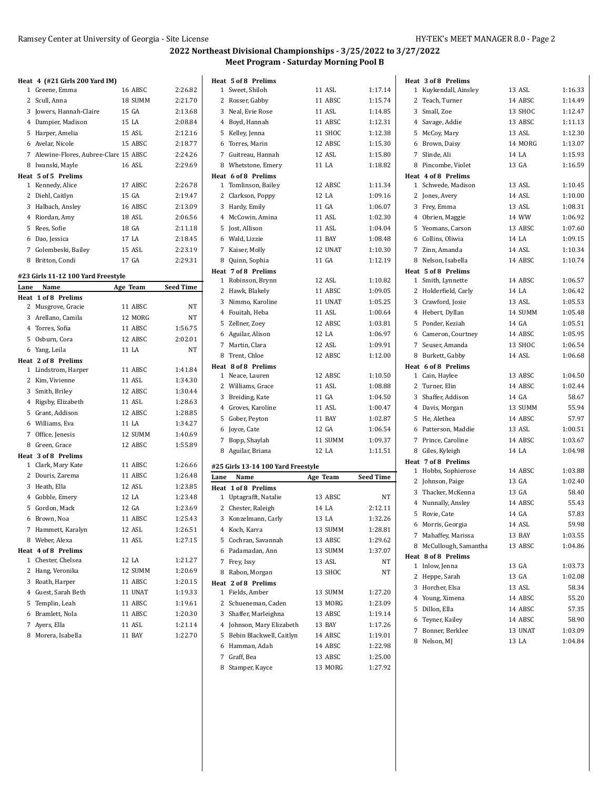8 Nelson, MJ 13 LA 1:04.84

## **2022 Northeast Divisional Championships - 3/25/2022 to 3/27/2022 Meet Program - Saturday Morning Pool B**

|      | Heat 4 (#21 Girls 200 Yard IM)         |          |                  |      | Heat 5 of 8 Prelims                |           |                  | Heat 3 of 8 Prelims    |         |         |
|------|----------------------------------------|----------|------------------|------|------------------------------------|-----------|------------------|------------------------|---------|---------|
|      | 1 Greene, Emma                         | 16 ABSC  | 2:26.82          |      | 1 Sweet, Shiloh                    | 11 ASL    | 1:17.14          | 1 Kuykendall, Ainsley  | 13 ASL  | 1:16.33 |
|      | 2 Scull, Anna                          | 18 SUMM  | 2:21.70          |      | 2 Rosser, Gabby                    | 11 ABSC   | 1:15.74          | 2 Teach, Turner        | 14 ABSC | 1:14.49 |
|      | 3 Jowers, Hannah-Claire                | 15 GA    | 2:13.68          |      | 3 Neal, Evie Rose                  | 11 ASL    | 1:14.85          | 3 Small, Zoe           | 13 SHOC | 1:12.47 |
|      | 4 Dampier, Madison                     | 15 LA    | 2:08.84          |      | 4 Boyd, Hannah                     | 11 ABSC   | 1:12.31          | 4 Savage, Addie        | 13 ABSC | 1:11.13 |
|      | 5 Harper, Amelia                       | 15 ASL   | 2:12.16          |      | 5 Kelley, Jenna                    | 11 SHOC   | 1:12.38          | 5 McCoy, Mary          | 13 ASL  | 1:12.30 |
|      | 6 Avelar, Nicole                       | 15 ABSC  | 2:18.77          |      | 6 Torres, Marin                    | 12 ABSC   | 1:15.30          | 6 Brown, Daisy         | 14 MORG | 1:13.07 |
|      | 7 Alewine-Flores, Aubree-Clare 15 ABSC |          | 2:24.26          |      | 7 Guitreau, Hannah                 | 12 ASL    | 1:15.80          | 7 Slinde, Ali          | 14 LA   | 1:15.93 |
|      | 8 Iwanski, Mayle                       | 16 ASL   | 2:29.69          |      | 8 Whetstone, Emery                 | 11 LA     | 1:18.82          | 8 Pincombe, Violet     | 13 GA   | 1:16.59 |
|      | Heat 5 of 5 Prelims                    |          |                  |      | Heat 6 of 8 Prelims                |           |                  | Heat 4 of 8 Prelims    |         |         |
|      | 1 Kennedy, Alice                       | 17 ABSC  | 2:26.78          |      | 1 Tomlinson, Bailey                | 12 ABSC   | 1:11.34          | 1 Schwede, Madison     | 13 ASL  | 1:10.45 |
|      | 2 Diehl, Caitlyn                       | 15 GA    | 2:19.47          |      | 2 Clarkson, Poppy                  | 12 LA     | 1:09.16          | 2 Jones, Avery         | 14 ASL  | 1:10.00 |
|      | 3 Halbach, Ansley                      | 16 ABSC  | 2:13.09          |      | 3 Hardy, Emily                     | 11 GA     | 1:06.07          | 3 Frey, Emma           | 13 ASL  | 1:08.31 |
|      | 4 Riordan, Amy                         | 18 ASL   | 2:06.56          |      | 4 McCowin, Amina                   | 11 ASL    | 1:02.30          | 4 Obrien, Maggie       | 14 WW   | 1:06.92 |
|      | 5 Rees, Sofie                          | 18 GA    | 2:11.18          |      | 5 Jost, Allison                    | 11 ASL    | 1:04.04          | 5 Yeomans, Carson      | 13 ABSC | 1:07.60 |
|      | 6 Dao, Jessica                         | 17 LA    | 2:18.45          |      | 6 Wald, Lizzie                     | 11 BAY    | 1:08.48          | 6 Collins, Oliwia      | 14 LA   | 1:09.15 |
|      | 7 Golembeski, Bailey                   | 15 ASL   | 2:23.19          |      | 7 Kaiser, Molly                    | 12 UNAT   | 1:10.30          | 7 Zinn, Amanda         | 14 ASL  | 1:10.34 |
|      | 8 Britton, Condi                       | 17 GA    | 2:29.31          |      | 8 Quinn, Sophia                    | 11 GA     | 1:12.19          | 8 Nelson, Isabella     | 14 ABSC | 1:10.74 |
|      |                                        |          |                  |      | Heat 7 of 8 Prelims                |           |                  | Heat 5 of 8 Prelims    |         |         |
|      | #23 Girls 11-12 100 Yard Freestyle     |          |                  |      | 1 Robinson, Brynn                  | 12 ASL    | 1:10.82          | 1 Smith, Lynnette      | 14 ABSC | 1:06.57 |
| Lane | Name                                   | Age Team | <b>Seed Time</b> |      | 2 Hawk, Blakely                    | 11 ABSC   | 1:09.05          | 2 Holderfield, Carly   | 14 LA   | 1:06.42 |
|      | Heat 1 of 8 Prelims                    |          |                  |      | 3 Nimmo, Karoline                  | 11 UNAT   | 1:05.25          | 3 Crawford, Josie      | 13 ASL  | 1:05.53 |
|      | 2 Musgrove, Gracie                     | 11 ABSC  | NT               |      | 4 Fouitah, Heba                    | 11 ASL    | 1:00.64          | 4 Hebert, Dyllan       | 14 SUMM | 1:05.48 |
|      | 3 Arellano, Camila                     | 12 MORG  | NT               |      |                                    |           |                  | 5 Ponder, Keziah       |         |         |
|      | 4 Torres, Sofia                        | 11 ABSC  | 1:56.75          |      | 5 Zellner, Zoey                    | 12 ABSC   | 1:03.81          |                        | 14 GA   | 1:05.51 |
|      | 5 Osburn, Cora                         | 12 ABSC  | 2:02.01          |      | 6 Aguilar, Alison                  | 12 LA     | 1:06.97          | 6 Cameron, Courtney    | 14 ABSC | 1:05.95 |
|      | 6 Yang, Leila                          | 11 LA    | NT               |      | 7 Martin, Clara                    | 12 ASL    | 1:09.91          | 7 Seuser, Amanda       | 13 SHOC | 1:06.54 |
|      | Heat 2 of 8 Prelims                    |          |                  |      | 8 Trent, Chloe                     | 12 ABSC   | 1:12.00          | 8 Burkett, Gabby       | 14 ASL  | 1:06.68 |
|      | 1 Lindstrom, Harper                    | 11 ABSC  | 1:41.84          |      | Heat 8 of 8 Prelims                |           |                  | Heat 6 of 8 Prelims    |         |         |
|      | 2 Kim, Vivienne                        | 11 ASL   | 1:34.30          |      | 1 Neace, Lauren                    | 12 ABSC   | 1:10.50          | 1 Cain, Haylee         | 13 ABSC | 1:04.50 |
|      | 3 Smith, Briley                        | 12 ABSC  | 1:30.44          |      | 2 Williams, Grace                  | 11 ASL    | 1:08.88          | 2 Turner, Elin         | 14 ABSC | 1:02.44 |
|      | 4 Rigsby, Elizabeth                    | 11 ASL   | 1:28.63          |      | 3 Breiding, Kate                   | 11 GA     | 1:04.50          | 3 Shaffer, Addison     | 14 GA   | 58.67   |
|      | 5 Grant, Addison                       | 12 ABSC  | 1:28.85          |      | 4 Groves, Karoline                 | 11 ASL    | 1:00.47          | 4 Davis, Morgan        | 13 SUMM | 55.94   |
|      | 6 Williams, Eva                        | 11 LA    | 1:34.27          |      | 5 Gober, Peyton                    | 11 BAY    | 1:02.87          | 5 He, Alethea          | 14 ABSC | 57.97   |
|      | 7 Office, Jenesis                      | 12 SUMM  | 1:40.69          |      | 6 Joyce, Cate                      | 12 GA     | 1:06.54          | 6 Patterson, Maddie    | 13 ASL  | 1:00.51 |
|      | 8 Green, Grace                         | 12 ABSC  | 1:55.89          |      | 7 Bopp, Shaylah                    | 11 SUMM   | 1:09.37          | 7 Prince, Caroline     | 14 ABSC | 1:03.67 |
|      | Heat 3 of 8 Prelims                    |          |                  |      | 8 Aguilar, Briana                  | 12 LA     | 1:11.51          | 8 Giles, Kyleigh       | 14 LA   | 1:04.98 |
|      | 1 Clark, Mary Kate                     | 11 ABSC  | 1:26.66          |      | #25 Girls 13-14 100 Yard Freestyle |           |                  | Heat 7 of 8 Prelims    |         |         |
|      | 2 Douris, Zarema                       | 11 ABSC  | 1:26.48          | Lane | Name                               | Age Team  | <b>Seed Time</b> | 1 Hobbs, Sophierose    | 14 ABSC | 1:03.88 |
|      | 3 Heath, Ella                          | 12 ASL   | 1:23.85          |      | Heat 1 of 8 Prelims                |           |                  | 2 Johnson, Paige       | 13 GA   | 1:02.40 |
|      | 4 Gobble, Emery                        | 12 LA    | 1:23.48          |      | 1 Uptagrafft, Natalie              | 13 ABSC   | NT               | 3 Thacker, McKenna     | 13 GA   | 58.40   |
|      | 5 Gordon, Mack                         | 12 GA    | 1:23.69          |      | 2 Chester, Raleigh                 | 14 LA     | 2:12.11          | 4 Nunnally, Ansley     | 14 ABSC | 55.43   |
|      | 6 Brown, Noa                           | 11 ABSC  | 1:25.43          |      | 3 Konzelmann, Carly                | $13\,$ LA | 1:32.26          | 5 Rovie, Cate          | 14 GA   | 57.83   |
|      | 7 Hammett, Karalyn                     | 12 ASL   | 1:26.51          |      | 4 Koch, Karra                      | 13 SUMM   | 1:28.81          | 6 Morris, Georgia      | 14 ASL  | 59.98   |
|      | 8 Weber, Alexa                         | 11 ASL   | 1:27.15          |      | 5 Cochran, Savannah                | 13 ABSC   | 1:29.62          | 7 Mahaffey, Marissa    | 13 BAY  | 1:03.55 |
|      | Heat 4 of 8 Prelims                    |          |                  |      | 6 Padamadan, Ann                   |           | 1:37.07          | 8 McCullough, Samantha | 13 ABSC | 1:04.86 |
|      | 1 Chester, Chelsea                     | 12 LA    | 1:21.27          |      |                                    | 13 SUMM   |                  | Heat 8 of 8 Prelims    |         |         |
|      | 2 Hang, Veronika                       | 12 SUMM  | 1:20.69          |      | 7 Frey, Issy                       | 13 ASL    | NT               | 1 Inlow, Jenna         | 13 GA   | 1:03.73 |
|      | 3 Roath, Harper                        |          |                  |      | 8 Rabon, Morgan                    | 13 SHOC   | NT               | 2 Heppe, Sarah         | 13 GA   | 1:02.08 |
|      |                                        | 11 ABSC  | 1:20.15          |      | Heat 2 of 8 Prelims                |           |                  | 3 Horcher, Elsa        | 13 ASL  | 58.34   |
|      | 4 Guest, Sarah Beth                    | 11 UNAT  | 1:19.33          |      | 1 Fields, Amber                    | 13 SUMM   | 1.27.20          | 4 Young, Ximena        | 14 ABSC | 55.20   |
|      | 5 Templin, Leah                        | 11 ABSC  | 1:19.61          |      | 2 Schueneman, Caden                | 13 MORG   | 1:23.09          | 5 Dillon, Ella         | 14 ABSC | 57.35   |
|      | 6 Bramlett, Nola                       | 11 ABSC  | 1:20.30          |      | 3 Shaffer, Marleighna              | 13 ABSC   | 1:19.14          | 6 Teyner, Kailey       | 14 ABSC | 58.90   |
|      | 7 Ayers, Ella                          | 11 ASL   | 1:21.14          |      | 4 Johnson, Mary Elizabeth          | 13 BAY    | 1:17.26          | 7 Bonner, Berklee      | 13 UNAT | 1:03.09 |
|      | 8 Morera, Isabella                     | 11 BAY   | 1:22.70          |      | 5 Bebin Blackwell, Caitlyn         | 14 ABSC   | 1:19.01          |                        |         |         |

6 Hamman, Adah 14 ABSC 1:22.98 7 Graff, Bea 13 ABSC 1:25.00 8 Stamper, Kayce 13 MORG 1:27.92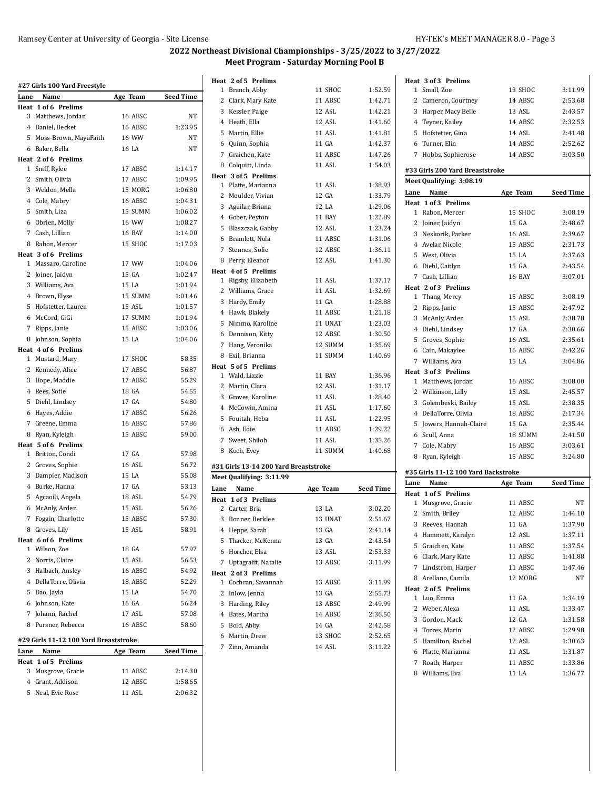|                | #27 Girls 100 Yard Freestyle            |              |                  |
|----------------|-----------------------------------------|--------------|------------------|
| Lane           | Name                                    | Age Team     | <b>Seed Time</b> |
| 3              | Heat 1 of 6 Prelims<br>Matthews, Jordan | 16 ABSC      | NΤ               |
| 4              | Daniel, Becket                          | 16 ABSC      | 1:23.95          |
|                |                                         |              |                  |
| 5<br>6         | Moss-Brown, MayaFaith                   | 16 WW        | NT<br>NT         |
|                | Baker, Bella                            | 16 LA        |                  |
| 1              | Heat 2 of 6 Prelims                     | 17 ABSC      | 1:14.17          |
| 2              | Sniff, Rylee<br>Smith, Olivia           | 17 ABSC      | 1:09.95          |
| 3              |                                         | 15 MORG      | 1:06.80          |
|                | Weldon, Mella                           |              | 1:04.31          |
|                | 4 Cole, Mabry                           | 16 ABSC      |                  |
| 5              | Smith, Liza                             | 15 SUMM      | 1:06.02          |
|                | 6 Obrien, Molly                         | <b>16 WW</b> | 1:08.27          |
|                | 7 Cash, Lillian                         | 16 BAY       | 1:14.00          |
| 8              | Rabon, Mercer                           | 15 SHOC      | 1:17.03          |
|                | Heat 3 of 6 Prelims                     |              |                  |
| 1              | Massaro, Caroline                       | 17 WW        | 1:04.06          |
| 2              | Joiner, Jaidyn                          | 15 GA        | 1:02.47          |
| 3              | Williams, Ava                           | 15 LA        | 1:01.94          |
|                | 4 Brown, Elyse                          | 15 SUMM      | 1:01.46          |
| 5              | Hofstetter, Lauren                      | 15 ASL       | 1:01.57          |
| 6              | McCord, GiGi                            | 17 SUMM      | 1:01.94          |
| 7              | Ripps, Janie                            | 15 ABSC      | 1:03.06          |
| 8              | Johnson, Sophia                         | 15 LA        | 1:04.06          |
|                | Heat 4 of 6 Prelims                     |              |                  |
| 1              | Mustard, Mary                           | 17 SHOC      | 58.35            |
| 2              | Kennedy, Alice                          | 17 ABSC      | 56.87            |
| 3              | Hope, Maddie                            | 17 ABSC      | 55.29            |
|                | 4 Rees, Sofie                           | 18 GA        | 54.55            |
| 5              | Diehl, Lindsey                          | 17 GA        | 54.80            |
| 6              | Hayes, Addie                            | 17 ABSC      | 56.26            |
| 7              | Greene, Emma                            | 16 ABSC      | 57.86            |
| 8              | Ryan, Kyleigh                           | 15 ABSC      | 59.00            |
|                | Heat 5 of 6 Prelims                     |              |                  |
| 1              | Britton, Condi                          | 17 GA        | 57.98            |
| 2              | Groves, Sophie                          | 16 ASL       | 56.72            |
| 3              | Dampier, Madison                        | 15 LA        | 55.08            |
| $\overline{4}$ | Burke, Hanna                            | 17 GA        | 53.13            |
| 5              | Agcaoili, Angela                        | 18 ASL       | 54.79            |
| 6              | McAnly, Arden                           | 15 ASL       | 56.26            |
| 7              | Foggin, Charlotte                       | 15 ABSC      | 57.30            |
| 8              | Groves, Lily                            | 15 ASL       | 58.91            |
|                | Heat 6 of 6 Prelims                     |              |                  |
|                | 1 Wilson, Zoe                           | 18 GA        | 57.97            |
|                | 2 Norris, Claire                        | 15 ASL       | 56.53            |
|                | 3 Halbach, Ansley                       | 16 ABSC      | 54.92            |
|                | 4 DellaTorre, Olivia                    | 18 ABSC      | 52.29            |
|                | 5 Dao, Jayla                            | 15 LA        | 54.70            |
|                | 6 Johnson, Kate                         | 16 GA        | 56.24            |
| 7              | Johann, Rachel                          | 17 ASL       | 57.08            |
| 8              | Pursner, Rebecca                        | 16 ABSC      | 58.60            |
|                |                                         |              |                  |
|                | #29 Girls 11-12 100 Yard Breaststroke   |              |                  |
| Lane           | Name                                    | Age Team     | Seed Time        |
|                | Heat 1 of 5 Prelims                     |              |                  |
| 3              | Musgrove, Gracie                        | 11 ABSC      | 2:14.30          |
|                | 4 Grant, Addison                        | 12 ABSC      | 1:58.65          |
| 5              | Neal, Evie Rose                         | 11 ASL       | 2:06.32          |
|                |                                         |              |                  |

| Heat 2 of 5 Prelims<br>1                                | 11 SHOC           | 1:52.59            |
|---------------------------------------------------------|-------------------|--------------------|
| Branch, Abby<br>2                                       | 11 ABSC           | 1:42.71            |
| Clark, Mary Kate<br>3<br>Kessler, Paige                 | 12 ASL            | 1:42.21            |
| 4 Heath, Ella                                           | 12 ASL            | 1:41.60            |
|                                                         | 11 ASL            |                    |
| 5 Martin, Ellie                                         |                   | 1:41.81            |
| 6 Quinn, Sophia                                         | 11 GA             | 1:42.37            |
| 7 Graichen, Kate                                        | 11 ABSC           | 1:47.26            |
| 8 Colquitt, Linda                                       | 11 ASL            | 1:54.03            |
| Heat 3 of 5 Prelims<br>$\mathbf{1}$<br>Platte, Marianna | 11 ASL            | 1:38.93            |
| 2<br>Moulder, Vivian                                    | 12 GA             | 1:33.79            |
| 3<br>Aguilar, Briana                                    | 12 LA             | 1:29.06            |
| 4 Gober, Peyton                                         | 11 BAY            | 1:22.89            |
| 5<br>Blaszczak, Gabby                                   | 12 ASL            | 1:23.24            |
|                                                         | 11 ABSC           | 1:31.06            |
| 6 Bramlett, Nola<br>7 Stennes, Sofie                    | 12 ABSC           |                    |
| 8 Perry, Eleanor                                        | 12 ASL            | 1:36.11<br>1:41.30 |
| Heat 4 of 5 Prelims                                     |                   |                    |
| Rigsby, Elizabeth<br>1                                  | 11 ASL            | 1:37.17            |
| 2 Williams, Grace                                       | 11 ASL            | 1:32.69            |
| 3 Hardy, Emily                                          | 11 GA             | 1:28.88            |
| 4 Hawk, Blakely                                         | 11 ABSC           | 1:21.18            |
| 5<br>Nimmo, Karoline                                    | 11 UNAT           | 1:23.03            |
| 6<br>Dennison, Kitty                                    | 12 ABSC           | 1:30.50            |
| 7<br>Hang, Veronika                                     | 12 SUMM           | 1:35.69            |
|                                                         | 11 SUMM           | 1:40.69            |
| 8 Exil, Brianna                                         |                   |                    |
| Heat 5 of 5 Prelims<br>1 Wald, Lizzie                   | 11 BAY            | 1:36.96            |
| 2<br>Martin, Clara                                      | 12 ASL            | 1:31.17            |
| 3 Groves, Karoline                                      | 11 ASL            | 1:28.40            |
| 4 McCowin, Amina                                        | 11 ASL            | 1:17.60            |
| 5<br>Fouitah, Heba                                      | 11 ASL            | 1:22.95            |
| 6 Ash, Edie                                             | 11 ABSC           | 1:29.22            |
| 7 Sweet, Shiloh                                         | 11 ASL            | 1:35.26            |
| 8 Koch, Evey                                            | 11 SUMM           | 1:40.68            |
|                                                         |                   |                    |
| #31 Girls 13-14 200 Yard Breaststroke                   |                   |                    |
| Meet Qualifying: 3:11.99                                |                   |                    |
| Name<br>Lane                                            | Age Team          | <b>Seed Time</b>   |
| Heat 1 of 3 Prelims                                     |                   |                    |
| 2<br>Carter, Bria                                       | 13 LA             | 3:02.20            |
| 3 Bonner, Berklee                                       | 13 UNAT           | 2:51.67            |
| 4 Heppe, Sarah                                          | 13 GA             | 2:41.14            |
| 5<br>Thacker, McKenna                                   | 13 GA             | 2:43.54            |
| 6 Horcher, Elsa                                         | 13 ASL            | 2:53.33            |
| 7<br>Uptagrafft, Natalie                                | 13 ABSC           | 3:11.99            |
| Heat 2 of 3 Prelims                                     |                   |                    |
| Cochran, Savannah<br>1                                  | 13 ABSC           | 3:11.99            |
| 2 Inlow, Jenna                                          | 13 GA             | 2:55.73            |
| 3 Harding, Riley                                        | 13 ABSC           | 2:49.99            |
| Bates, Martha<br>4                                      | 14 ABSC           | 2:36.50            |
| 5<br>Bold, Abby                                         | 14 GA             | 2:42.58            |
| Martin, Drew<br>6                                       |                   | 2:52.65            |
| Zinn, Amanda                                            | 13 SHOC<br>14 ASL | 3:11.22            |

|              | Heat 3 of 3 Prelims                 |                  |                    |
|--------------|-------------------------------------|------------------|--------------------|
| 1            | Small, Zoe                          | 13 SHOC          | 3:11.99            |
|              | 2 Cameron, Courtney                 | 14 ABSC          | 2:53.68            |
|              | 3 Harper, Macy Belle                | 13 ASL           | 2:43.57            |
|              | 4 Teyner, Kailey                    | 14 ABSC          | 2:32.53            |
|              | 5 Hofstetter, Gina                  | 14 ASL           | 2:41.48            |
|              | 6 Turner. Elin                      | 14 ABSC          | 2:52.62            |
| $7^{\circ}$  | Hobbs, Sophierose                   | 14 ABSC          | 3:03.50            |
|              | #33 Girls 200 Yard Breaststroke     |                  |                    |
|              | Meet Qualifying: 3:08.19            |                  |                    |
| Lane         | Name                                | Age Team         | <b>Seed Time</b>   |
|              | Heat 1 of 3 Prelims                 |                  |                    |
| 1            | Rabon, Mercer                       | 15 SHOC          | 3:08.19            |
| 2            | Joiner, Jaidyn                      | 15 GA            | 2:48.67            |
|              | 3 Neskorik, Parker                  | 16 ASL           | 2:39.67            |
|              | 4 Avelar, Nicole                    | 15 ABSC          | 2:31.73            |
|              | 5 West, Olivia                      | 15 LA            | 2:37.63            |
|              | 6 Diehl, Caitlyn                    | 15 GA            | 2:43.54            |
|              | 7 Cash, Lillian                     | 16 BAY           | 3:07.01            |
|              | Heat 2 of 3 Prelims                 |                  |                    |
|              | 1 Thang, Mercy                      | 15 ABSC          | 3:08.19            |
| $\mathbf{2}$ | Ripps, Janie                        | 15 ABSC          | 2:47.92            |
|              | 3 McAnly, Arden                     | 15 ASL           | 2:38.78            |
|              | 4 Diehl, Lindsey                    | 17 GA            | 2:30.66            |
|              | 5 Groves, Sophie                    | 16 ASL           | 2:35.61            |
|              | 6 Cain, Makaylee                    | 16 ABSC          | 2:42.26            |
|              | 7 Williams, Ava                     | 15 LA            | 3:04.86            |
|              | Heat 3 of 3 Prelims                 |                  |                    |
|              | 1 Matthews, Jordan                  | 16 ABSC          | 3:08.00            |
| $\mathbf{2}$ | Wilkinson, Lilly                    | 15 ASL           | 2:45.57            |
|              | 3 Golembeski, Bailey                | 15 ASL           | 2:38.35            |
|              | 4 DellaTorre, Olivia                | 18 ABSC          | 2:17.34            |
|              | 5 Jowers, Hannah-Claire             | 15 GA            | 2:35.44            |
|              | 6 Scull, Anna                       | 18 SUMM          | 2:41.50            |
| 7            | Cole, Mabry                         | 16 ABSC          | 3:03.61            |
|              | 8 Ryan, Kyleigh                     | 15 ABSC          | 3:24.80            |
|              |                                     |                  |                    |
|              | #35 Girls 11-12 100 Yard Backstroke |                  |                    |
| Lane         | Name                                | Age Team         | <b>Seed Time</b>   |
| 1            | Heat 1 of 5 Prelims                 | 11 ABSC          | NΤ                 |
| 2            | Musgrove, Gracie<br>Smith, Briley   | 12 ABSC          | 1:44.10            |
|              |                                     |                  |                    |
|              | 3 Reeves, Hannah                    | 11 GA            | 1:37.90            |
|              | 4 Hammett, Karalyn                  | 12 ASL           | 1:37.11            |
|              | 5 Graichen, Kate                    | 11 ABSC          | 1:37.54            |
|              | 6 Clark, Mary Kate                  | 11 ABSC          | 1:41.88            |
|              | 7 Lindstrom, Harper                 | 11 ABSC          | 1:47.46            |
|              | 8 Arellano, Camila                  | 12 MORG          | NΤ                 |
|              | Heat 2 of 5 Prelims<br>Luo, Emma    | 11 GA            |                    |
| 1            |                                     | 11 ASL           | 1:34.19<br>1:33.47 |
|              | 2 Weber, Alexa                      |                  |                    |
|              | 3 Gordon, Mack                      | 12 GA<br>12 ABSC | 1:31.58<br>1:29.98 |
|              | 4 Torres, Marin                     |                  |                    |
|              | 5 Hamilton, Rachel                  | 12 ASL           | 1:30.63            |
|              | 6 Platte, Marianna                  | 11 ASL           | 1:31.87            |
| 7            | Roath, Harper                       | 11 ABSC          | 1:33.86            |
|              | 8 Williams, Eva                     | 11 LA            | 1:36.77            |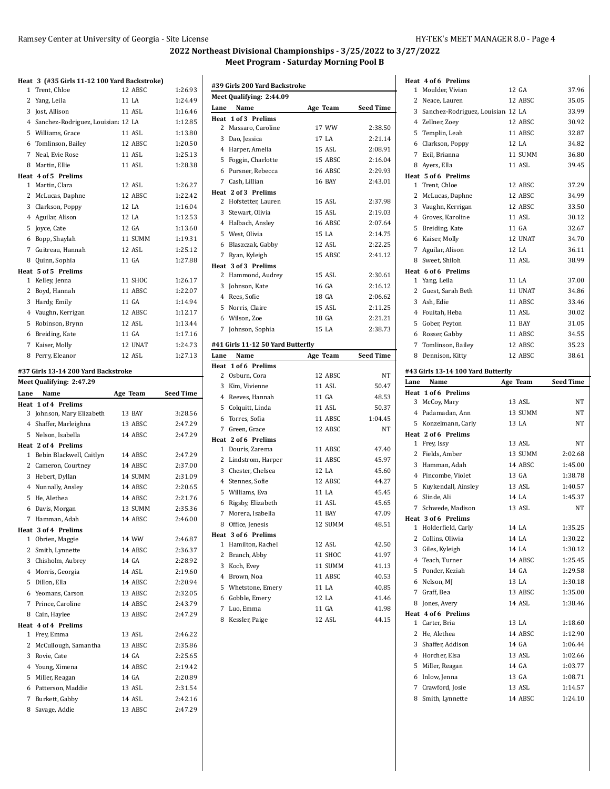#### **Heat 3 (#35 Girls 11-12 100 Yard Backstroke)** Trent, Chloe 12 ABSC 1:26.93

| Lane           | Name                                | Age Team | <b>Seed Time</b> |
|----------------|-------------------------------------|----------|------------------|
|                | Meet Qualifying: 2:47.29            |          |                  |
|                | #37 Girls 13-14 200 Yard Backstroke |          |                  |
| 8              | Perry, Eleanor                      | 12 ASL   | 1:27.13          |
| 7              | Kaiser, Molly                       | 12 UNAT  | 1:24.73          |
|                | 6 Breiding, Kate                    | 11 GA    | 1:17.16          |
|                | 5 Robinson, Brynn                   | 12 ASL   | 1:13.44          |
|                | 4 Vaughn, Kerrigan                  | 12 ABSC  | 1:12.17          |
|                | 3 Hardy, Emily                      | 11 GA    | 1:14.94          |
| $\overline{2}$ | Boyd, Hannah                        | 11 ABSC  | 1:22.07          |
| $\mathbf{1}$   | Kelley, Jenna                       | 11 SHOC  | 1:26.17          |
|                | Heat 5 of 5 Prelims                 |          |                  |
|                | 8 Quinn, Sophia                     | 11 GA    | 1:27.88          |
| 7              | Guitreau, Hannah                    | 12 ASL   | 1:25.12          |
|                | 6 Bopp, Shaylah                     | 11 SUMM  | 1:19.31          |
| 5              | Joyce, Cate                         | 12 GA    | 1:13.60          |
|                | 4 Aguilar, Alison                   | 12 LA    | 1:12.53          |
|                | 3 Clarkson, Poppy                   | 12 LA    | 1:16.04          |
|                | 2 McLucas, Daphne                   | 12 ABSC  | 1:22.42          |
| $\mathbf{1}$   | Martin, Clara                       | 12 ASL   | 1:26.27          |
|                | Heat 4 of 5 Prelims                 |          |                  |
| 8              | Martin, Ellie                       | 11 ASL   | 1:28.38          |
|                | 7 Neal. Evie Rose                   | 11 ASL   | 1:25.13          |
|                | 6 Tomlinson, Bailey                 | 12 ABSC  | 1:20.50          |
|                | 5 Williams, Grace                   | 11 ASL   | 1:13.80          |
|                | 4 Sanchez-Rodriguez, Louisian 12 LA |          | 1:12.85          |
| 3              | Jost, Allison                       | 11 ASL   | 1:16.46          |
| 2              | Yang, Leila                         | 11 LA    | 1:24.49          |
| T              | Trent, Unioe                        | 12 ABSC  | 1:26.93          |

| Lane | Name                       | Age Team | Seed Time |
|------|----------------------------|----------|-----------|
|      | <b>Heat 1 of 4 Prelims</b> |          |           |
|      | 3 Johnson, Mary Elizabeth  | 13 BAY   | 3:28.56   |
|      | 4 Shaffer, Marleighna      | 13 ABSC  | 2:47.29   |
|      | 5 Nelson, Isabella         | 14 ABSC  | 2:47.29   |
|      | Heat 2 of 4 Prelims        |          |           |
| 1    | Bebin Blackwell, Caitlyn   | 14 ABSC  | 2:47.29   |
|      | 2 Cameron, Courtney        | 14 ABSC  | 2:37.00   |
|      | 3 Hebert, Dyllan           | 14 SUMM  | 2:31.09   |
|      | 4 Nunnally, Ansley         | 14 ABSC  | 2:20.65   |
|      | 5 He, Alethea              | 14 ABSC  | 2:21.76   |
|      | 6 Davis, Morgan            | 13 SUMM  | 2:35.36   |
| 7    | Hamman, Adah               | 14 ABSC  | 2:46.00   |
|      | Heat 3 of 4 Prelims        |          |           |
|      | 1 Obrien, Maggie           | 14 WW    | 2:46.87   |
|      | 2 Smith, Lynnette          | 14 ABSC  | 2:36.37   |
|      | 3 Chisholm, Aubrey         | 14 GA    | 2:28.92   |
|      | 4 Morris, Georgia          | 14 ASL   | 2:19.60   |
|      | 5 Dillon, Ella             | 14 ABSC  | 2:20.94   |
|      | 6 Yeomans, Carson          | 13 ABSC  | 2:32.05   |
|      | 7 Prince, Caroline         | 14 ABSC  | 2:43.79   |
| 8    | Cain, Haylee               | 13 ABSC  | 2:47.29   |
|      | Heat 4 of 4 Prelims        |          |           |
|      | 1 Frey, Emma               | 13 ASL   | 2:46.22   |
|      | 2 McCullough, Samantha     | 13 ABSC  | 2:35.86   |
|      | 3 Rovie, Cate              | 14 GA    | 2:25.65   |
|      | 4 Young, Ximena            | 14 ABSC  | 2:19.42   |
|      | 5 Miller, Reagan           | 14 GA    | 2:20.89   |
|      | 6 Patterson, Maddie        | 13 ASL   | 2:31.54   |
| 7    | Burkett, Gabby             | 14 ASL   | 2:42.16   |
|      | 8 Savage, Addie            | 13 ABSC  | 2:47.29   |
|      |                            |          |           |

|             | #39 Girls 200 Yard Backstroke     |               |                  |
|-------------|-----------------------------------|---------------|------------------|
|             | Meet Qualifying: 2:44.09          |               |                  |
| Lane        | Name                              | Age Team      | Seed Time        |
|             | Heat 1 of 3 Prelims               |               |                  |
|             | 2 Massaro, Caroline               | 17 WW         | 2:38.50          |
|             | 3 Dao, Jessica                    | 17 LA         | 2:21.14          |
|             | 4 Harper, Amelia                  | 15 ASL        | 2:08.91          |
|             | 5 Foggin, Charlotte               | 15 ABSC       | 2:16.04          |
|             | 6 Pursner, Rebecca                | 16 ABSC       | 2:29.93          |
|             | 7 Cash, Lillian                   | <b>16 BAY</b> | 2:43.01          |
|             | Heat 2 of 3 Prelims               |               |                  |
|             | 2 Hofstetter, Lauren              | 15 ASL        | 2:37.98          |
|             | 3 Stewart, Olivia                 | 15 ASL        | 2:19.03          |
|             | 4 Halbach, Ansley                 | 16 ABSC       | 2:07.64          |
|             | 5 West, Olivia                    | 15 LA         | 2:14.75          |
|             | 6 Blaszczak, Gabby                | 12 ASL        | 2:22.25          |
|             | 7 Ryan, Kyleigh                   | 15 ABSC       | 2:41.12          |
|             | Heat 3 of 3 Prelims               |               |                  |
|             | 2 Hammond, Audrey                 | 15 ASL        | 2:30.61          |
|             | 3 Johnson, Kate                   | 16 GA         | 2:16.12          |
|             | 4 Rees, Sofie                     | 18 GA         | 2:06.62          |
|             | 5 Norris, Claire                  | 15 ASL        | 2:11.25          |
|             | 6 Wilson, Zoe                     | 18 GA         | 2:21.21          |
| 7           | Johnson, Sophia                   | 15 LA         | 2:38.73          |
|             | #41 Girls 11-12 50 Yard Butterfly |               |                  |
| Lane        | Name                              | Age Team      | <b>Seed Time</b> |
|             | Heat 1 of 6 Prelims               |               |                  |
|             | 2 Osburn, Cora                    | 12 ABSC       | NT               |
|             | 3 Kim, Vivienne                   | 11 ASL        | 50.47            |
|             | 4 Reeves, Hannah                  | 11 GA         | 48.53            |
|             | 5 Colquitt, Linda                 | 11 ASL        | 50.37            |
|             | 6 Torres, Sofia                   | 11 ABSC       | 1:04.45          |
| $7^{\circ}$ | Green, Grace                      | 12 ABSC       | NT               |
|             | Heat 2 of 6 Prelims               |               |                  |
|             | 1 Douris, Zarema                  | 11 ABSC       | 47.40            |
|             | 2 Lindstrom, Harper               | 11 ABSC       | 45.97            |
|             | 3 Chester, Chelsea                | 12 LA         | 45.60            |
|             | 4 Stennes, Sofie                  | 12 ABSC       | 44.27            |
|             | 5 Williams, Eva                   | 11 LA         | 45.45            |
|             | 6 Rigsby, Elizabeth               | 11 ASL        | 45.65            |
|             | 7 Morera, Isabella                | 11 BAY        | 47.09            |
|             | 8 Office, Jenesis                 | 12 SUMM       | 48.51            |
|             | Heat 3 of 6 Prelims               |               |                  |
| 1           | Hamilton, Rachel                  | 12 ASL        | 42.50            |
|             | 2 Branch, Abby                    | 11 SHOC       | 41.97            |
|             | 3 Koch, Evey                      | 11 SUMM       | 41.13            |
|             | 4 Brown, Noa                      | 11 ABSC       | 40.53            |
|             | 5 Whetstone, Emery                | 11 LA         | 40.85            |
|             | 6 Gobble, Emery                   | 12 LA         | 41.46            |
|             | 7 Luo, Emma                       | 11 GA         | 41.98            |
|             | 8 Kessler, Paige                  | 12 ASL        | 44.15            |
|             |                                   |               |                  |

|              | Heat 4 of 6 Prelims                   |          |                    |
|--------------|---------------------------------------|----------|--------------------|
| 1            | Moulder, Vivian                       | 12 GA    | 37.96              |
| $\mathbf{2}$ | Neace, Lauren                         | 12 ABSC  | 35.05              |
|              | 3 Sanchez-Rodriguez, Louisian 12 LA   |          | 33.99              |
|              | 4 Zellner, Zoey                       | 12 ABSC  | 30.92              |
|              | 5 Templin, Leah                       | 11 ABSC  | 32.87              |
|              | 6 Clarkson, Poppy                     | 12 LA    | 34.82              |
|              | 7 Exil, Brianna                       | 11 SUMM  | 36.80              |
|              | 8 Ayers, Ella                         | 11 ASL   | 39.45              |
|              | Heat 5 of 6 Prelims                   |          |                    |
|              | 1 Trent, Chloe                        | 12 ABSC  | 37.29              |
|              | 2 McLucas, Daphne                     | 12 ABSC  | 34.99              |
|              | 3 Vaughn, Kerrigan                    | 12 ABSC  | 33.50              |
|              | 4 Groves, Karoline                    | 11 ASL   | 30.12              |
|              | 5 Breiding, Kate                      | 11 GA    | 32.67              |
|              | 6 Kaiser, Molly                       | 12 UNAT  | 34.70              |
|              | 7 Aguilar, Alison                     | 12 LA    | 36.11              |
|              | 8 Sweet, Shiloh                       | 11 ASL   | 38.99              |
|              | Heat 6 of 6 Prelims                   |          |                    |
|              | 1 Yang, Leila                         | 11 LA    | 37.00              |
|              | 2 Guest, Sarah Beth                   | 11 UNAT  | 34.86              |
|              | 3 Ash, Edie                           | 11 ABSC  | 33.46              |
|              | 4 Fouitah, Heba                       | 11 ASL   | 30.02              |
|              | 5 Gober, Peyton                       | 11 BAY   | 31.05              |
|              | 6 Rosser, Gabby                       | 11 ABSC  | 34.55              |
| 7            | Tomlinson, Bailey                     | 12 ABSC  | 35.23              |
|              | 8 Dennison, Kitty                     | 12 ABSC  | 38.61              |
|              | #43 Girls 13-14 100 Yard Butterfly    |          |                    |
| Lane         | Name                                  | Age Team | <b>Seed Time</b>   |
|              |                                       |          |                    |
|              | Heat 1 of 6 Prelims                   |          |                    |
|              | 3 McCoy, Mary                         | 13 ASL   | NΤ                 |
|              | 4 Padamadan, Ann                      | 13 SUMM  | NT                 |
|              | 5 Konzelmann, Carly                   | 13 LA    | NT                 |
|              | Heat 2 of 6 Prelims                   |          |                    |
|              | 1 Frey, Issy                          | 13 ASL   | NΤ                 |
|              | 2 Fields, Amber                       | 13 SUMM  | 2:02.68            |
|              | 3 Hamman, Adah                        | 14 ABSC  | 1:45.00            |
|              | 4 Pincombe, Violet                    | 13 GA    | 1:38.78            |
|              | 5 Kuykendall, Ainsley                 | 13 ASL   | 1:40.57            |
|              | 6 Slinde, Ali                         | 14 LA    | 1:45.37            |
| 7            | Schwede, Madison                      | 13 ASL   | NT                 |
|              | Heat 3 of 6 Prelims                   |          |                    |
| 1            | Holderfield, Carly                    | 14 LA    | 1:35.25            |
|              | 2 Collins, Oliwia                     | 14 LA    | 1:30.22            |
| 3            | Giles, Kyleigh                        | 14 LA    | 1:30.12            |
|              | 4 Teach, Turner                       | 14 ABSC  | 1:25.45            |
|              | 5 Ponder, Keziah                      | 14 GA    | 1:29.58            |
|              | 6 Nelson, MJ                          | 13 LA    | 1:30.18            |
|              | 7 Graff, Bea                          | 13 ABSC  | 1:35.00<br>1:38.46 |
|              | 8 Jones, Avery<br>Heat 4 of 6 Prelims | 14 ASL   |                    |
| 1            | Carter, Bria                          | 13 LA    | 1:18.60            |
|              | 2 He, Alethea                         | 14 ABSC  | 1:12.90            |
|              | 3 Shaffer, Addison                    | 14 GA    | 1:06.44            |
|              | 4 Horcher, Elsa                       | 13 ASL   | 1:02.66            |
|              | 5 Miller, Reagan                      | 14 GA    | 1:03.77            |
|              | 6 Inlow, Jenna                        | 13 GA    | 1:08.71            |
| 7            | Crawford, Josie                       | 13 ASL   | 1:14.57            |